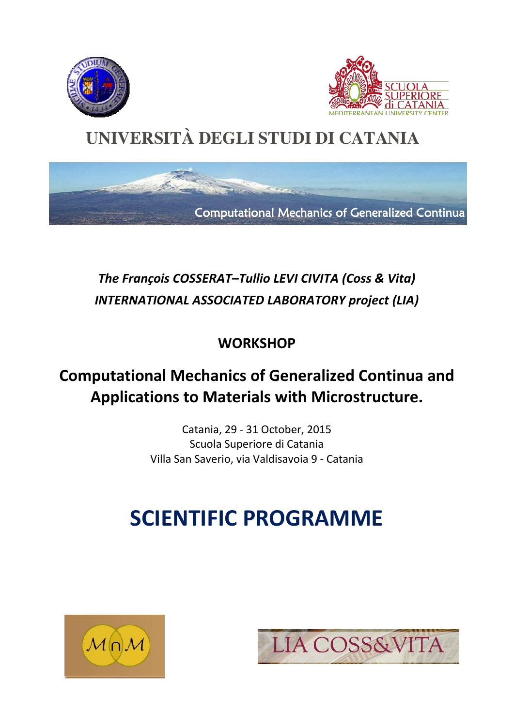





### *The François COSSERAT–Tullio LEVI CIVITA (Coss & Vita) INTERNATIONAL ASSOCIATED LABORATORY project (LIA)*

**WORKSHOP**

### **Computational Mechanics of Generalized Continua and Applications to Materials with Microstructure.**

Catania, 29 - 31 October, 2015 Scuola Superiore di Catania Villa San Saverio, via Valdisavoia 9 - Catania

# **SCIENTIFIC PROGRAMME**



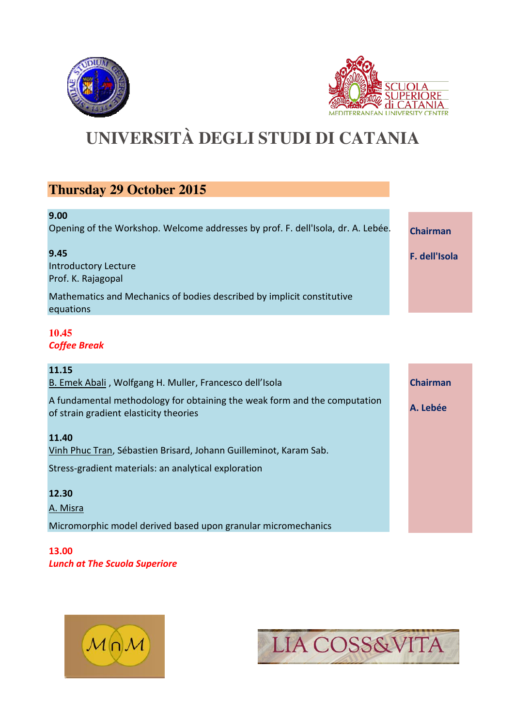



### **Thursday 29 October 2015**

| 9.00                                                                                |                 |
|-------------------------------------------------------------------------------------|-----------------|
| Opening of the Workshop. Welcome addresses by prof. F. dell'Isola, dr. A. Lebée.    | <b>Chairman</b> |
| 9.45<br><b>Introductory Lecture</b><br>Prof. K. Rajagopal                           | F. dell'Isola   |
| Mathematics and Mechanics of bodies described by implicit constitutive<br>equations |                 |
| 10.45<br><b>Coffee Break</b>                                                        |                 |

| 11.15                                                                                                               |                 |
|---------------------------------------------------------------------------------------------------------------------|-----------------|
| B. Emek Abali, Wolfgang H. Muller, Francesco dell'Isola                                                             | <b>Chairman</b> |
| A fundamental methodology for obtaining the weak form and the computation<br>of strain gradient elasticity theories | A. Lebée        |
| 11.40                                                                                                               |                 |
| Vinh Phuc Tran, Sébastien Brisard, Johann Guilleminot, Karam Sab.                                                   |                 |
| Stress-gradient materials: an analytical exploration                                                                |                 |
| 12.30                                                                                                               |                 |
| A. Misra                                                                                                            |                 |
| Micromorphic model derived based upon granular micromechanics                                                       |                 |

**13.00** *Lunch at The Scuola Superiore*



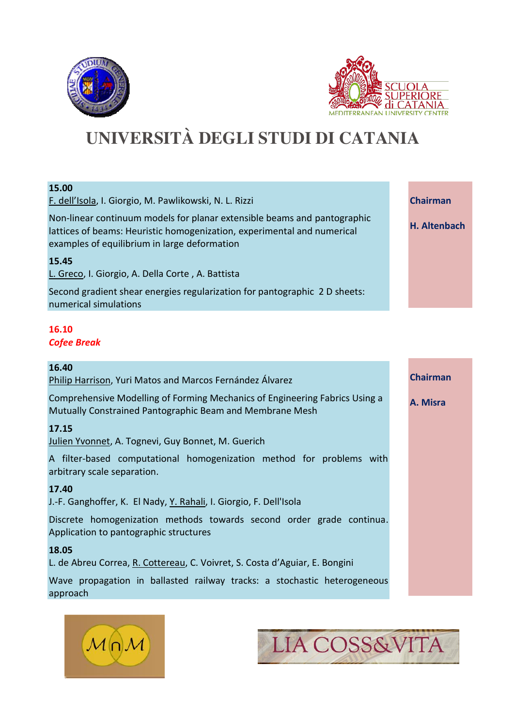



| 15.00                                                                                                                                                                                               |                 |
|-----------------------------------------------------------------------------------------------------------------------------------------------------------------------------------------------------|-----------------|
| F. dell'Isola, I. Giorgio, M. Pawlikowski, N. L. Rizzi                                                                                                                                              | <b>Chairman</b> |
| Non-linear continuum models for planar extensible beams and pantographic<br>lattices of beams: Heuristic homogenization, experimental and numerical<br>examples of equilibrium in large deformation | H. Altenbach    |
| 15.45                                                                                                                                                                                               |                 |
| L. Greco, I. Giorgio, A. Della Corte, A. Battista                                                                                                                                                   |                 |
| Second gradient shear energies regularization for pantographic 2 D sheets:<br>numerical simulations                                                                                                 |                 |
|                                                                                                                                                                                                     |                 |

#### **16.10** *Cofee Break*

| 16.40<br>Philip Harrison, Yuri Matos and Marcos Fernández Álvarez                                                                       | <b>Chairman</b> |
|-----------------------------------------------------------------------------------------------------------------------------------------|-----------------|
| Comprehensive Modelling of Forming Mechanics of Engineering Fabrics Using a<br>Mutually Constrained Pantographic Beam and Membrane Mesh | A. Misra        |
| 17.15<br>Julien Yvonnet, A. Tognevi, Guy Bonnet, M. Guerich                                                                             |                 |
| A filter-based computational homogenization method for problems with<br>arbitrary scale separation.                                     |                 |
| 17.40<br>J.-F. Ganghoffer, K. El Nady, Y. Rahali, I. Giorgio, F. Dell'Isola                                                             |                 |
| Discrete homogenization methods towards second order grade continua.<br>Application to pantographic structures                          |                 |
| 18.05                                                                                                                                   |                 |
| L. de Abreu Correa, R. Cottereau, C. Voivret, S. Costa d'Aguiar, E. Bongini                                                             |                 |
| Wave propagation in ballasted railway tracks: a stochastic heterogeneous<br>approach                                                    |                 |



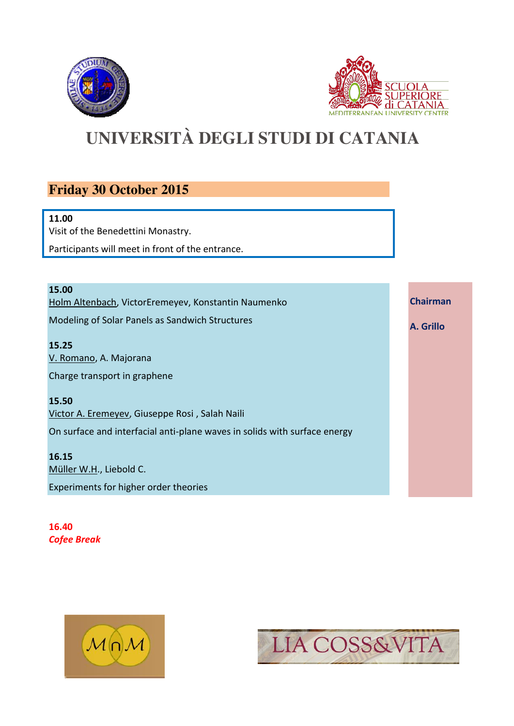



**Chairman**

**A. Grillo**

### **UNIVERSITÀ DEGLI STUDI DI CATANIA**

### **Friday 30 October 2015**

#### **11.00**

Visit of the Benedettini Monastry.

Participants will meet in front of the entrance.

**15.00** Holm Altenbach, VictorEremeyev, Konstantin Naumenko Modeling of Solar Panels as Sandwich Structures

**15.25** V. Romano, A. Majorana Charge transport in graphene

**15.50**

Victor A. Eremeyev, Giuseppe Rosi , Salah Naili On surface and interfacial anti-plane waves in solids with surface energy

**16.15** Müller W.H., Liebold C. Experiments for higher order theories

**16.40** *Cofee Break*



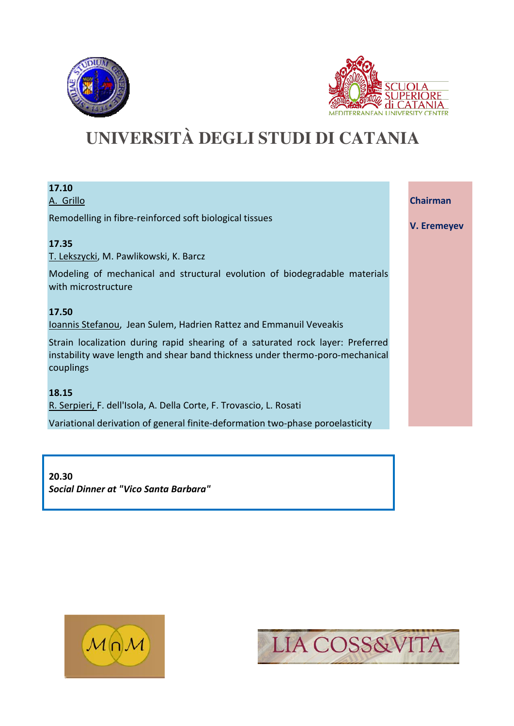



| 17.10<br>A. Grillo                                                                                                                                                           | <b>Chairman</b>    |
|------------------------------------------------------------------------------------------------------------------------------------------------------------------------------|--------------------|
| Remodelling in fibre-reinforced soft biological tissues                                                                                                                      | <b>V. Eremeyev</b> |
| 17.35                                                                                                                                                                        |                    |
| T. Lekszycki, M. Pawlikowski, K. Barcz                                                                                                                                       |                    |
| Modeling of mechanical and structural evolution of biodegradable materials<br>with microstructure                                                                            |                    |
| 17.50                                                                                                                                                                        |                    |
| Ioannis Stefanou, Jean Sulem, Hadrien Rattez and Emmanuil Veveakis                                                                                                           |                    |
| Strain localization during rapid shearing of a saturated rock layer: Preferred<br>instability wave length and shear band thickness under thermo-poro-mechanical<br>couplings |                    |
| 18.15                                                                                                                                                                        |                    |
| R. Serpieri, F. dell'Isola, A. Della Corte, F. Trovascio, L. Rosati                                                                                                          |                    |
| Variational derivation of general finite-deformation two-phase poroelasticity                                                                                                |                    |

**20.30** *Social Dinner at "Vico Santa Barbara"*



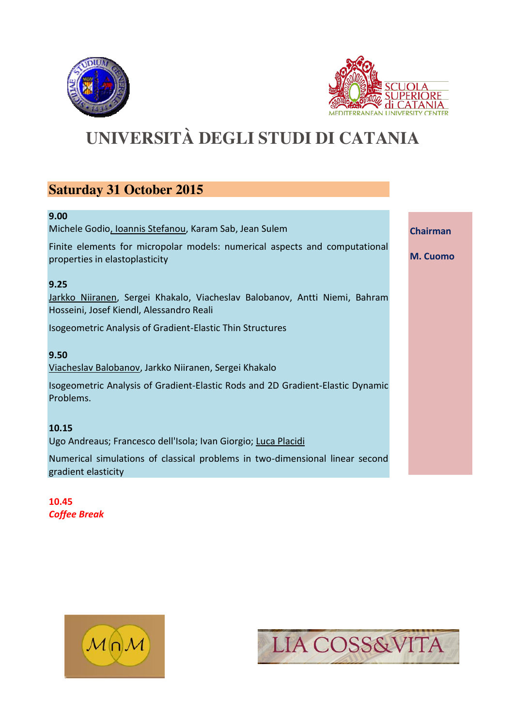



**Chairman**

**M. Cuomo**

### **UNIVERSITÀ DEGLI STUDI DI CATANIA**

### **Saturday 31 October 2015**

#### **9.00**

Michele Godio, Ioannis Stefanou, Karam Sab, Jean Sulem

Finite elements for micropolar models: numerical aspects and computational properties in elastoplasticity

#### **9.25**

Jarkko Niiranen, Sergei Khakalo, Viacheslav Balobanov, Antti Niemi, Bahram Hosseini, Josef Kiendl, Alessandro Reali

Isogeometric Analysis of Gradient-Elastic Thin Structures

#### **9.50**

Viacheslav Balobanov, Jarkko Niiranen, Sergei Khakalo

Isogeometric Analysis of Gradient-Elastic Rods and 2D Gradient-Elastic Dynamic Problems.

#### **10.15**

Ugo Andreaus; Francesco dell'Isola; Ivan Giorgio; Luca Placidi

Numerical simulations of classical problems in two-dimensional linear second gradient elasticity

**10.45** *Coffee Break*